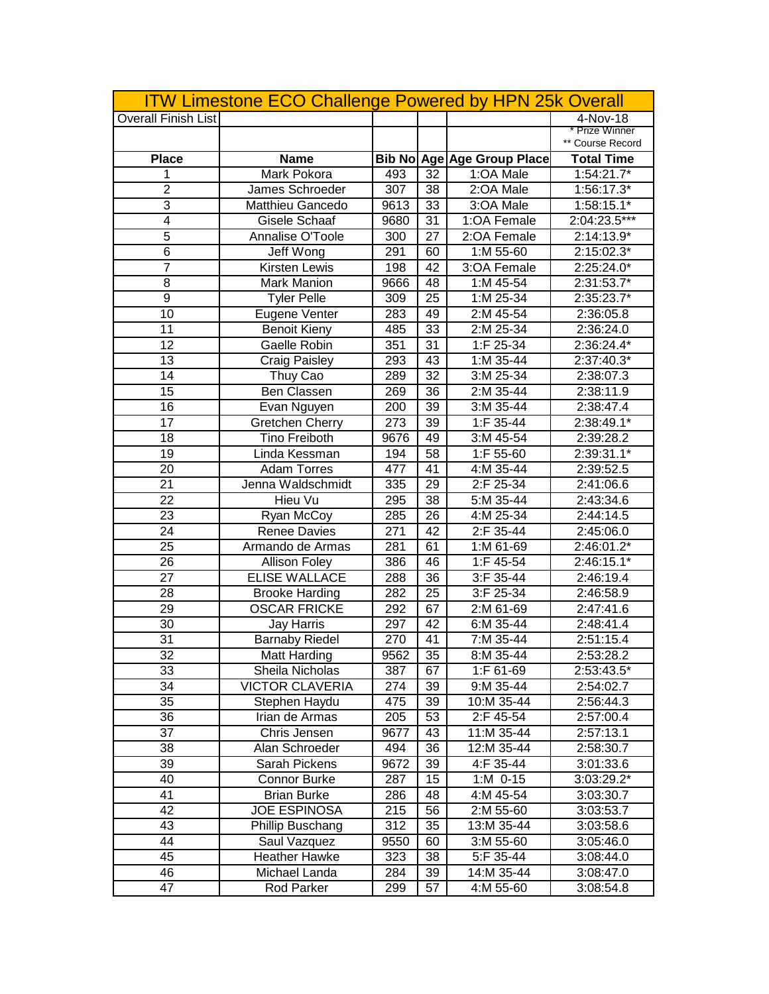|                            | <b>ITW Limestone ECO Challenge Powered by HPN 25k Overall</b> |      |    |                            |                     |
|----------------------------|---------------------------------------------------------------|------|----|----------------------------|---------------------|
| <b>Overall Finish List</b> |                                                               |      |    |                            | 4-Nov-18            |
|                            |                                                               |      |    |                            | <b>Prize Winner</b> |
|                            |                                                               |      |    |                            | ** Course Record    |
| <b>Place</b>               | <b>Name</b>                                                   |      |    | Bib No Age Age Group Place | <b>Total Time</b>   |
| 1                          | Mark Pokora                                                   | 493  | 32 | 1:OA Male                  | $1:54:21.7*$        |
| $\overline{2}$             | James Schroeder                                               | 307  | 38 | 2:OA Male                  | $1:56:17.3*$        |
| 3                          | <b>Matthieu Gancedo</b>                                       | 9613 | 33 | 3:OA Male                  | $1:58:15.1*$        |
| $\overline{4}$             | Gisele Schaaf                                                 | 9680 | 31 | 1:OA Female                | 2:04:23.5***        |
| 5                          | Annalise O'Toole                                              | 300  | 27 | 2:OA Female                | 2:14:13.9*          |
| $\overline{6}$             | Jeff Wong                                                     | 291  | 60 | $1: M 55-60$               | $2:15:02.3*$        |
| $\overline{7}$             | <b>Kirsten Lewis</b>                                          | 198  | 42 | 3:OA Female                | 2:25:24.0*          |
| 8                          | <b>Mark Manion</b>                                            | 9666 | 48 | 1:M 45-54                  | 2:31:53.7*          |
| 9                          | <b>Tyler Pelle</b>                                            | 309  | 25 | $1: M$ 25-34               | 2:35:23.7*          |
| $\overline{10}$            | Eugene Venter                                                 | 283  | 49 | 2:M 45-54                  | 2:36:05.8           |
| 11                         | <b>Benoit Kieny</b>                                           | 485  | 33 | 2:M 25-34                  | 2:36:24.0           |
| $\overline{12}$            | Gaelle Robin                                                  | 351  | 31 | 1:F 25-34                  | 2:36:24.4*          |
| 13                         | <b>Craig Paisley</b>                                          | 293  | 43 | 1:M 35-44                  | 2:37:40.3*          |
| $\overline{14}$            | Thuy Cao                                                      | 289  | 32 | 3:M 25-34                  | 2:38:07.3           |
| 15                         | Ben Classen                                                   | 269  | 36 | 2:M 35-44                  | 2:38:11.9           |
| 16                         | Evan Nguyen                                                   | 200  | 39 | 3:M 35-44                  | 2:38:47.4           |
| 17                         | Gretchen Cherry                                               | 273  | 39 | 1:F 35-44                  | 2:38:49.1*          |
| 18                         | <b>Tino Freiboth</b>                                          | 9676 | 49 | 3:M 45-54                  | 2:39:28.2           |
| 19                         | Linda Kessman                                                 | 194  | 58 | 1:F 55-60                  | 2:39:31.1*          |
| 20                         | <b>Adam Torres</b>                                            | 477  | 41 | 4:M 35-44                  | 2:39:52.5           |
| 21                         | Jenna Waldschmidt                                             | 335  | 29 | 2:F 25-34                  | 2:41:06.6           |
| 22                         | Hieu Vu                                                       | 295  | 38 | 5:M 35-44                  | 2:43:34.6           |
| 23                         | Ryan McCoy                                                    | 285  | 26 | 4:M 25-34                  | 2:44:14.5           |
| 24                         | <b>Renee Davies</b>                                           | 271  | 42 | 2:F 35-44                  | 2:45:06.0           |
| 25                         | Armando de Armas                                              | 281  | 61 | 1:M 61-69                  | 2:46:01.2*          |
| 26                         | <b>Allison Foley</b>                                          | 386  | 46 | 1:F 45-54                  | 2:46:15.1*          |
| 27                         | <b>ELISE WALLACE</b>                                          | 288  | 36 | $3:F35-44$                 | 2:46:19.4           |
| 28                         | <b>Brooke Harding</b>                                         | 282  | 25 | 3:F 25-34                  | 2:46:58.9           |
| 29                         | <b>OSCAR FRICKE</b>                                           | 292  | 67 | 2:M 61-69                  | 2:47:41.6           |
| 30                         | <b>Jay Harris</b>                                             | 297  | 42 | 6:M 35-44                  | 2:48:41.4           |
| $\overline{31}$            | <b>Barnaby Riedel</b>                                         | 270  | 41 | 7:M 35-44                  | 2:51:15.4           |
| 32                         | Matt Harding                                                  | 9562 | 35 | 8:M 35-44                  | 2:53:28.2           |
| 33                         | Sheila Nicholas                                               | 387  | 67 | 1:F 61-69                  | 2:53:43.5*          |
| 34                         | <b>VICTOR CLAVERIA</b>                                        | 274  | 39 | 9:M 35-44                  | 2:54:02.7           |
| 35                         | Stephen Haydu                                                 | 475  | 39 | 10:M 35-44                 | 2:56:44.3           |
| 36                         | Irian de Armas                                                | 205  | 53 | 2:F 45-54                  | 2:57:00.4           |
| 37                         | Chris Jensen                                                  | 9677 | 43 | 11:M 35-44                 | 2:57:13.1           |
| 38                         | Alan Schroeder                                                | 494  | 36 | 12:M 35-44                 | 2:58:30.7           |
| 39                         | Sarah Pickens                                                 | 9672 | 39 | 4:F 35-44                  | 3:01:33.6           |
| 40                         | <b>Connor Burke</b>                                           | 287  | 15 | $1: M$ 0-15                | 3:03:29.2*          |
| 41                         | <b>Brian Burke</b>                                            | 286  | 48 | 4:M 45-54                  | 3:03:30.7           |
| 42                         | <b>JOE ESPINOSA</b>                                           | 215  | 56 | 2:M 55-60                  | 3:03:53.7           |
| 43                         | Phillip Buschang                                              | 312  | 35 | 13:M 35-44                 | 3:03:58.6           |
| 44                         | Saul Vazquez                                                  | 9550 | 60 | 3:M 55-60                  | 3:05:46.0           |
| 45                         | <b>Heather Hawke</b>                                          | 323  | 38 | 5:F 35-44                  | 3:08:44.0           |
| 46                         | Michael Landa                                                 | 284  | 39 | $14: M$ 35-44              | 3:08:47.0           |
| 47                         | Rod Parker                                                    | 299  | 57 | 4:M 55-60                  | 3:08:54.8           |